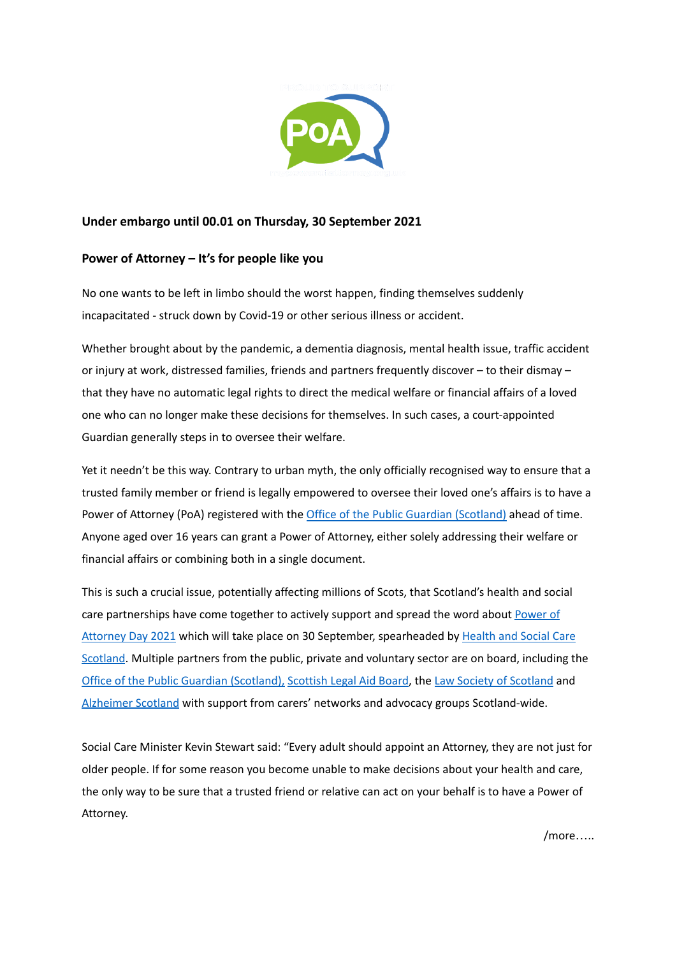

## **Under embargo until 00.01 on Thursday, 30 September 2021**

## **Power of Attorney – It's for people like you**

No one wants to be left in limbo should the worst happen, finding themselves suddenly incapacitated - struck down by Covid-19 or other serious illness or accident.

Whether brought about by the pandemic, a dementia diagnosis, mental health issue, traffic accident or injury at work, distressed families, friends and partners frequently discover – to their dismay – that they have no automatic legal rights to direct the medical welfare or financial affairs of a loved one who can no longer make these decisions for themselves. In such cases, a court-appointed Guardian generally steps in to oversee their welfare.

Yet it needn't be this way. Contrary to urban myth, the only officially recognised way to ensure that a trusted family member or friend is legally empowered to oversee their loved one's affairs is to have a Power of Attorney (PoA) registered with the Office of the Public Guardian [\(Scotland\)](https://www.publicguardian-scotland.gov.uk/) ahead of time. Anyone aged over 16 years can grant a Power of Attorney, either solely addressing their welfare or financial affairs or combining both in a single document.

This is such a crucial issue, potentially affecting millions of Scots, that Scotland's health and social care partnerships have come together to actively support and spread the word about [Power](https://mypowerofattorney.org.uk/about-us/the-campaign/) of [Attorney](https://mypowerofattorney.org.uk/about-us/the-campaign/) Day 2021 which will take place on 30 September, spearheaded by [Health](https://hscscotland.scot/) and Social Care [Scotland](https://hscscotland.scot/). Multiple partners from the public, private and voluntary sector are on board, including the Office of the Public Guardian [\(Scotland\),](https://www.publicguardian-scotland.gov.uk/) [Scottish](https://www.slab.org.uk/) Legal Aid Board, the Law Society of [Scotland](https://www.lawscot.org.uk/) and [Alzheimer](https://www.alzscot.org/) Scotland with support from carers' networks and advocacy groups Scotland-wide.

Social Care Minister Kevin Stewart said: "Every adult should appoint an Attorney, they are not just for older people. If for some reason you become unable to make decisions about your health and care, the only way to be sure that a trusted friend or relative can act on your behalf is to have a Power of Attorney.

/more…..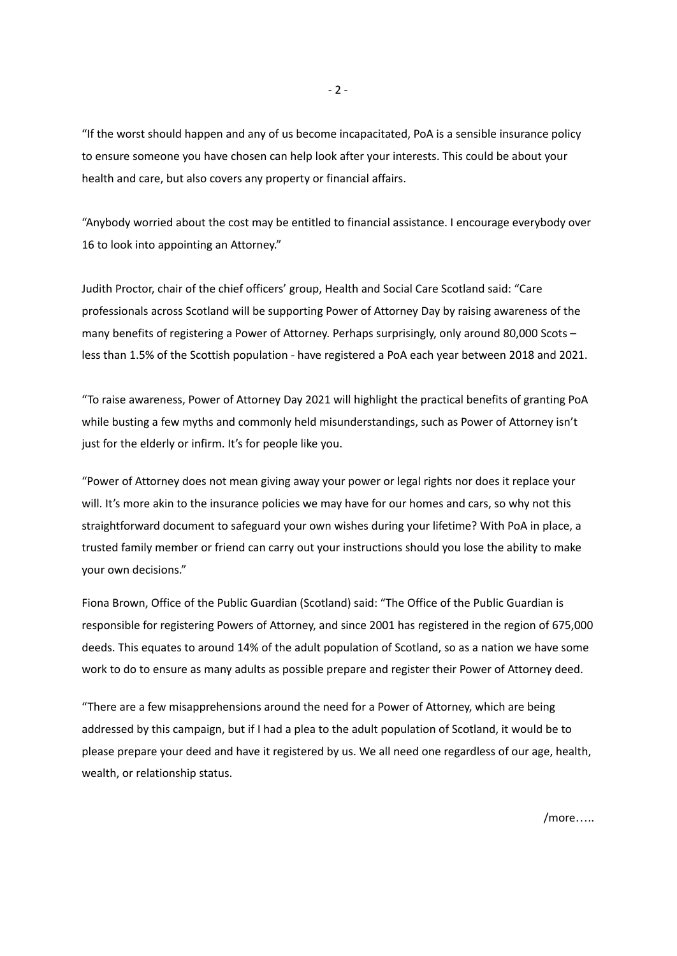"If the worst should happen and any of us become incapacitated, PoA is a sensible insurance policy to ensure someone you have chosen can help look after your interests. This could be about your health and care, but also covers any property or financial affairs.

"Anybody worried about the cost may be entitled to financial assistance. I encourage everybody over 16 to look into appointing an Attorney."

Judith Proctor, chair of the chief officers' group, Health and Social Care Scotland said: "Care professionals across Scotland will be supporting Power of Attorney Day by raising awareness of the many benefits of registering a Power of Attorney. Perhaps surprisingly, only around 80,000 Scots – less than 1.5% of the Scottish population - have registered a PoA each year between 2018 and 2021.

"To raise awareness, Power of Attorney Day 2021 will highlight the practical benefits of granting PoA while busting a few myths and commonly held misunderstandings, such as Power of Attorney isn't just for the elderly or infirm. It's for people like you.

"Power of Attorney does not mean giving away your power or legal rights nor does it replace your will. It's more akin to the insurance policies we may have for our homes and cars, so why not this straightforward document to safeguard your own wishes during your lifetime? With PoA in place, a trusted family member or friend can carry out your instructions should you lose the ability to make your own decisions."

Fiona Brown, Office of the Public Guardian (Scotland) said: "The Office of the Public Guardian is responsible for registering Powers of Attorney, and since 2001 has registered in the region of 675,000 deeds. This equates to around 14% of the adult population of Scotland, so as a nation we have some work to do to ensure as many adults as possible prepare and register their Power of Attorney deed.

"There are a few misapprehensions around the need for a Power of Attorney, which are being addressed by this campaign, but if I had a plea to the adult population of Scotland, it would be to please prepare your deed and have it registered by us. We all need one regardless of our age, health, wealth, or relationship status.

- 2 -